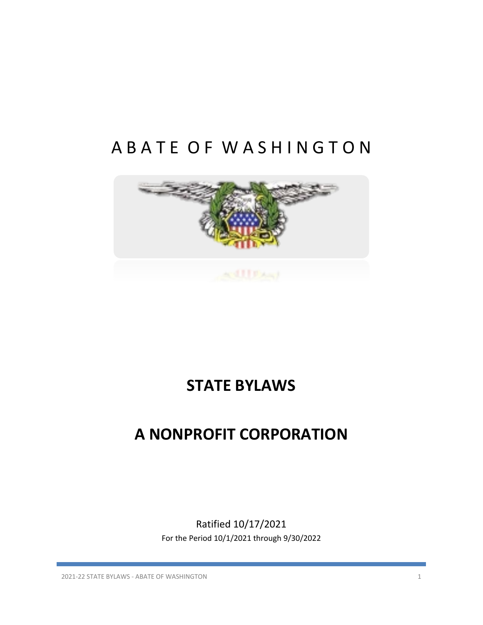# A B A T E O F W A S H I N G T O N



# **STATE BYLAWS**

# **A NONPROFIT CORPORATION**

Ratified 10/17/2021 For the Period 10/1/2021 through 9/30/2022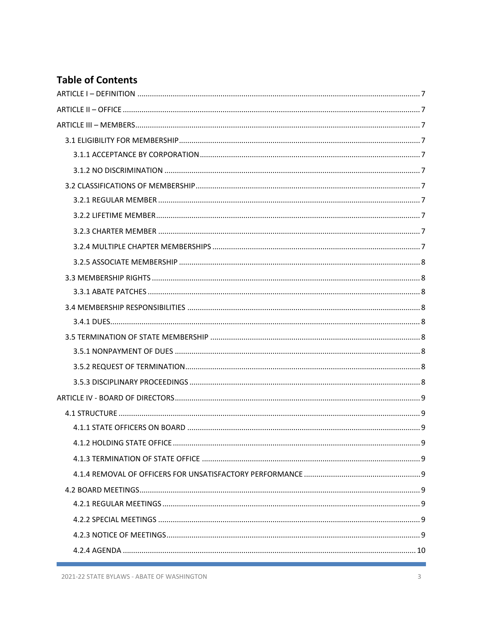# **Table of Contents**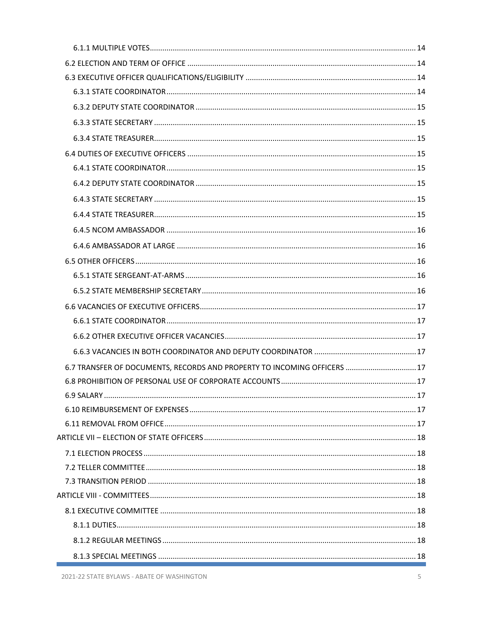| 6.7 TRANSFER OF DOCUMENTS, RECORDS AND PROPERTY TO INCOMING OFFICERS  17 |  |
|--------------------------------------------------------------------------|--|
|                                                                          |  |
|                                                                          |  |
|                                                                          |  |
|                                                                          |  |
|                                                                          |  |
|                                                                          |  |
|                                                                          |  |
|                                                                          |  |
|                                                                          |  |
|                                                                          |  |
|                                                                          |  |
|                                                                          |  |
|                                                                          |  |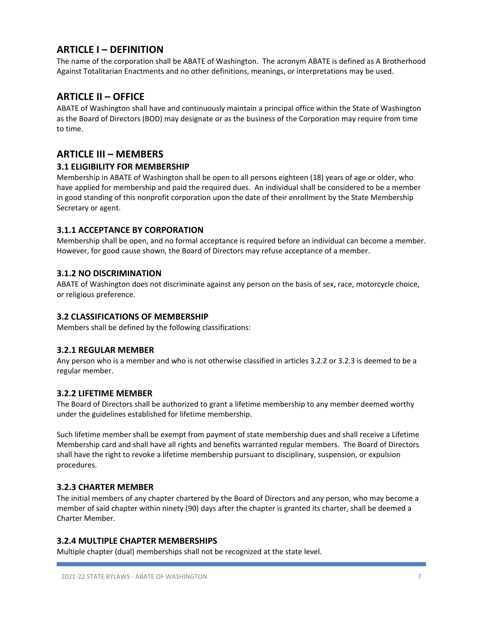# **ARTICLE I – DEFINITION**

The name of the corporation shall be ABATE of Washington. The acronym ABATE is defined as A Brotherhood Against Totalitarian Enactments and no other definitions, meanings, or interpretations may be used.

# **ARTICLE II – OFFICE**

ABATE of Washington shall have and continuously maintain a principal office within the State of Washington as the Board of Directors (BOD) may designate or as the business of the Corporation may require from time to time.

# **ARTICLE III – MEMBERS**

# **3.1 ELIGIBILITY FOR MEMBERSHIP**

Membership in ABATE of Washington shall be open to all persons eighteen (18) years of age or older, who have applied for membership and paid the required dues. An individual shall be considered to be a member in good standing of this nonprofit corporation upon the date of their enrollment by the State Membership Secretary or agent.

# **3.1.1 ACCEPTANCE BY CORPORATION**

Membership shall be open, and no formal acceptance is required before an individual can become a member. However, for good cause shown, the Board of Directors may refuse acceptance of a member.

# **3.1.2 NO DISCRIMINATION**

ABATE of Washington does not discriminate against any person on the basis of sex, race, motorcycle choice, or religious preference.

# **3.2 CLASSIFICATIONS OF MEMBERSHIP**

Members shall be defined by the following classifications:

#### **3.2.1 REGULAR MEMBER**

Any person who is a member and who is not otherwise classified in articles 3.2.2 or 3.2.3 is deemed to be a regular member.

#### **3.2.2 LIFETIME MEMBER**

The Board of Directors shall be authorized to grant a lifetime membership to any member deemed worthy under the guidelines established for lifetime membership.

Such lifetime member shall be exempt from payment of state membership dues and shall receive a Lifetime Membership card and shall have all rights and benefits warranted regular members. The Board of Directors shall have the right to revoke a lifetime membership pursuant to disciplinary, suspension, or expulsion procedures.

#### **3.2.3 CHARTER MEMBER**

The initial members of any chapter chartered by the Board of Directors and any person, who may become a member of said chapter within ninety (90) days after the chapter is granted its charter, shall be deemed a Charter Member.

#### **3.2.4 MULTIPLE CHAPTER MEMBERSHIPS**

Multiple chapter (dual) memberships shall not be recognized at the state level.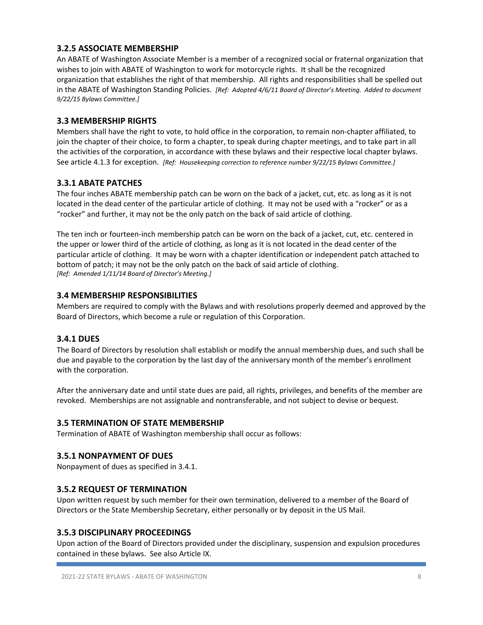# **3.2.5 ASSOCIATE MEMBERSHIP**

An ABATE of Washington Associate Member is a member of a recognized social or fraternal organization that wishes to join with ABATE of Washington to work for motorcycle rights. It shall be the recognized organization that establishes the right of that membership. All rights and responsibilities shall be spelled out in the ABATE of Washington Standing Policies. *[Ref: Adopted 4/6/11 Board of Director's Meeting. Added to document 9/22/15 Bylaws Committee.]*

#### **3.3 MEMBERSHIP RIGHTS**

Members shall have the right to vote, to hold office in the corporation, to remain non-chapter affiliated, to join the chapter of their choice, to form a chapter, to speak during chapter meetings, and to take part in all the activities of the corporation, in accordance with these bylaws and their respective local chapter bylaws. See article 4.1.3 for exception. *[Ref: Housekeeping correction to reference number 9/22/15 Bylaws Committee.]*

# **3.3.1 ABATE PATCHES**

The four inches ABATE membership patch can be worn on the back of a jacket, cut, etc. as long as it is not located in the dead center of the particular article of clothing. It may not be used with a "rocker" or as a "rocker" and further, it may not be the only patch on the back of said article of clothing.

The ten inch or fourteen-inch membership patch can be worn on the back of a jacket, cut, etc. centered in the upper or lower third of the article of clothing, as long as it is not located in the dead center of the particular article of clothing. It may be worn with a chapter identification or independent patch attached to bottom of patch; it may not be the only patch on the back of said article of clothing. *[Ref: Amended 1/11/14 Board of Director's Meeting.]*

# **3.4 MEMBERSHIP RESPONSIBILITIES**

Members are required to comply with the Bylaws and with resolutions properly deemed and approved by the Board of Directors, which become a rule or regulation of this Corporation.

# **3.4.1 DUES**

The Board of Directors by resolution shall establish or modify the annual membership dues, and such shall be due and payable to the corporation by the last day of the anniversary month of the member's enrollment with the corporation.

After the anniversary date and until state dues are paid, all rights, privileges, and benefits of the member are revoked. Memberships are not assignable and nontransferable, and not subject to devise or bequest.

#### **3.5 TERMINATION OF STATE MEMBERSHIP**

Termination of ABATE of Washington membership shall occur as follows:

#### **3.5.1 NONPAYMENT OF DUES**

Nonpayment of dues as specified in 3.4.1.

#### **3.5.2 REQUEST OF TERMINATION**

Upon written request by such member for their own termination, delivered to a member of the Board of Directors or the State Membership Secretary, either personally or by deposit in the US Mail.

#### **3.5.3 DISCIPLINARY PROCEEDINGS**

Upon action of the Board of Directors provided under the disciplinary, suspension and expulsion procedures contained in these bylaws. See also Article IX.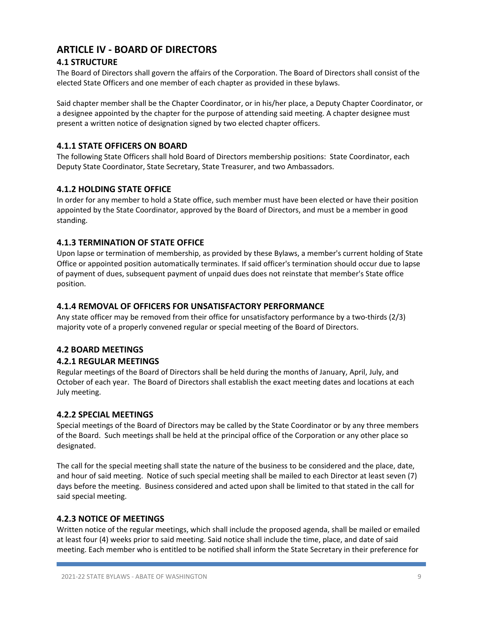# **ARTICLE IV - BOARD OF DIRECTORS**

# **4.1 STRUCTURE**

The Board of Directors shall govern the affairs of the Corporation. The Board of Directors shall consist of the elected State Officers and one member of each chapter as provided in these bylaws.

Said chapter member shall be the Chapter Coordinator, or in his/her place, a Deputy Chapter Coordinator, or a designee appointed by the chapter for the purpose of attending said meeting. A chapter designee must present a written notice of designation signed by two elected chapter officers.

# **4.1.1 STATE OFFICERS ON BOARD**

The following State Officers shall hold Board of Directors membership positions: State Coordinator, each Deputy State Coordinator, State Secretary, State Treasurer, and two Ambassadors.

# **4.1.2 HOLDING STATE OFFICE**

In order for any member to hold a State office, such member must have been elected or have their position appointed by the State Coordinator, approved by the Board of Directors, and must be a member in good standing.

# **4.1.3 TERMINATION OF STATE OFFICE**

Upon lapse or termination of membership, as provided by these Bylaws, a member's current holding of State Office or appointed position automatically terminates. If said officer's termination should occur due to lapse of payment of dues, subsequent payment of unpaid dues does not reinstate that member's State office position.

# **4.1.4 REMOVAL OF OFFICERS FOR UNSATISFACTORY PERFORMANCE**

Any state officer may be removed from their office for unsatisfactory performance by a two-thirds (2/3) majority vote of a properly convened regular or special meeting of the Board of Directors.

# **4.2 BOARD MEETINGS**

# **4.2.1 REGULAR MEETINGS**

Regular meetings of the Board of Directors shall be held during the months of January, April, July, and October of each year. The Board of Directors shall establish the exact meeting dates and locations at each July meeting.

# **4.2.2 SPECIAL MEETINGS**

Special meetings of the Board of Directors may be called by the State Coordinator or by any three members of the Board. Such meetings shall be held at the principal office of the Corporation or any other place so designated.

The call for the special meeting shall state the nature of the business to be considered and the place, date, and hour of said meeting. Notice of such special meeting shall be mailed to each Director at least seven (7) days before the meeting. Business considered and acted upon shall be limited to that stated in the call for said special meeting.

# **4.2.3 NOTICE OF MEETINGS**

Written notice of the regular meetings, which shall include the proposed agenda, shall be mailed or emailed at least four (4) weeks prior to said meeting. Said notice shall include the time, place, and date of said meeting. Each member who is entitled to be notified shall inform the State Secretary in their preference for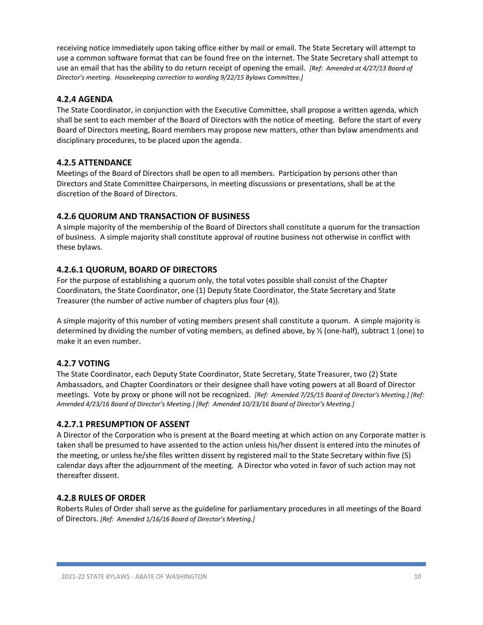receiving notice immediately upon taking office either by mail or email. The State Secretary will attempt to use a common software format that can be found free on the internet. The State Secretary shall attempt to use an email that has the ability to do return receipt of opening the email. *[Ref: Amended at 4/27/13 Board of Director's meeting. Housekeeping correction to wording 9/22/15 Bylaws Committee.]*

# **4.2.4 AGENDA**

The State Coordinator, in conjunction with the Executive Committee, shall propose a written agenda, which shall be sent to each member of the Board of Directors with the notice of meeting. Before the start of every Board of Directors meeting, Board members may propose new matters, other than bylaw amendments and disciplinary procedures, to be placed upon the agenda.

# **4.2.5 ATTENDANCE**

Meetings of the Board of Directors shall be open to all members. Participation by persons other than Directors and State Committee Chairpersons, in meeting discussions or presentations, shall be at the discretion of the Board of Directors.

#### **4.2.6 QUORUM AND TRANSACTION OF BUSINESS**

A simple majority of the membership of the Board of Directors shall constitute a quorum for the transaction of business. A simple majority shall constitute approval of routine business not otherwise in conflict with these bylaws.

#### **4.2.6.1 QUORUM, BOARD OF DIRECTORS**

For the purpose of establishing a quorum only, the total votes possible shall consist of the Chapter Coordinators, the State Coordinator, one (1) Deputy State Coordinator, the State Secretary and State Treasurer (the number of active number of chapters plus four (4)).

A simple majority of this number of voting members present shall constitute a quorum. A simple majority is determined by dividing the number of voting members, as defined above, by ½ (one-half), subtract 1 (one) to make it an even number.

#### **4.2.7 VOTING**

The State Coordinator, each Deputy State Coordinator, State Secretary, State Treasurer, two (2) State Ambassadors, and Chapter Coordinators or their designee shall have voting powers at all Board of Director meetings. Vote by proxy or phone will not be recognized. *[Ref: Amended 7/25/15 Board of Director's Meeting.] [Ref: Amended 4/23/16 Board of Director's Meeting.] [Ref: Amended 10/23/16 Board of Director's Meeting.]*

#### **4.2.7.1 PRESUMPTION OF ASSENT**

A Director of the Corporation who is present at the Board meeting at which action on any Corporate matter is taken shall be presumed to have assented to the action unless his/her dissent is entered into the minutes of the meeting, or unless he/she files written dissent by registered mail to the State Secretary within five (5) calendar days after the adjournment of the meeting. A Director who voted in favor of such action may not thereafter dissent.

#### **4.2.8 RULES OF ORDER**

Roberts Rules of Order shall serve as the guideline for parliamentary procedures in all meetings of the Board of Directors. *[Ref: Amended 1/16/16 Board of Director's Meeting.]*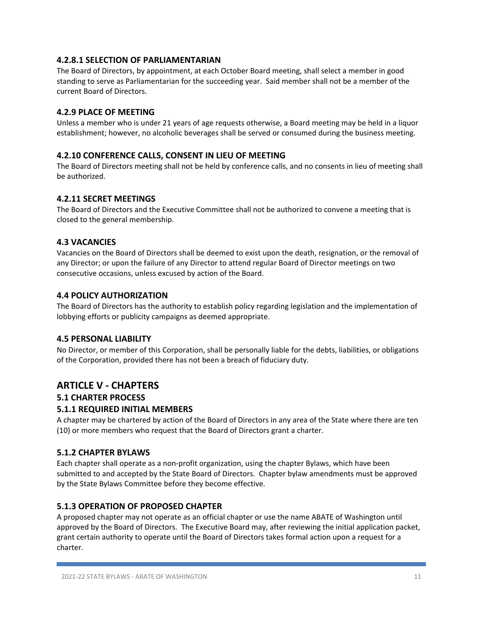# **4.2.8.1 SELECTION OF PARLIAMENTARIAN**

The Board of Directors, by appointment, at each October Board meeting, shall select a member in good standing to serve as Parliamentarian for the succeeding year. Said member shall not be a member of the current Board of Directors.

# **4.2.9 PLACE OF MEETING**

Unless a member who is under 21 years of age requests otherwise, a Board meeting may be held in a liquor establishment; however, no alcoholic beverages shall be served or consumed during the business meeting.

#### **4.2.10 CONFERENCE CALLS, CONSENT IN LIEU OF MEETING**

The Board of Directors meeting shall not be held by conference calls, and no consents in lieu of meeting shall be authorized.

#### **4.2.11 SECRET MEETINGS**

The Board of Directors and the Executive Committee shall not be authorized to convene a meeting that is closed to the general membership.

#### **4.3 VACANCIES**

Vacancies on the Board of Directors shall be deemed to exist upon the death, resignation, or the removal of any Director; or upon the failure of any Director to attend regular Board of Director meetings on two consecutive occasions, unless excused by action of the Board.

#### **4.4 POLICY AUTHORIZATION**

The Board of Directors has the authority to establish policy regarding legislation and the implementation of lobbying efforts or publicity campaigns as deemed appropriate.

#### **4.5 PERSONAL LIABILITY**

No Director, or member of this Corporation, shall be personally liable for the debts, liabilities, or obligations of the Corporation, provided there has not been a breach of fiduciary duty.

# **ARTICLE V - CHAPTERS**

#### **5.1 CHARTER PROCESS**

#### **5.1.1 REQUIRED INITIAL MEMBERS**

A chapter may be chartered by action of the Board of Directors in any area of the State where there are ten (10) or more members who request that the Board of Directors grant a charter.

#### **5.1.2 CHAPTER BYLAWS**

Each chapter shall operate as a non-profit organization, using the chapter Bylaws, which have been submitted to and accepted by the State Board of Directors. Chapter bylaw amendments must be approved by the State Bylaws Committee before they become effective.

#### **5.1.3 OPERATION OF PROPOSED CHAPTER**

A proposed chapter may not operate as an official chapter or use the name ABATE of Washington until approved by the Board of Directors. The Executive Board may, after reviewing the initial application packet, grant certain authority to operate until the Board of Directors takes formal action upon a request for a charter.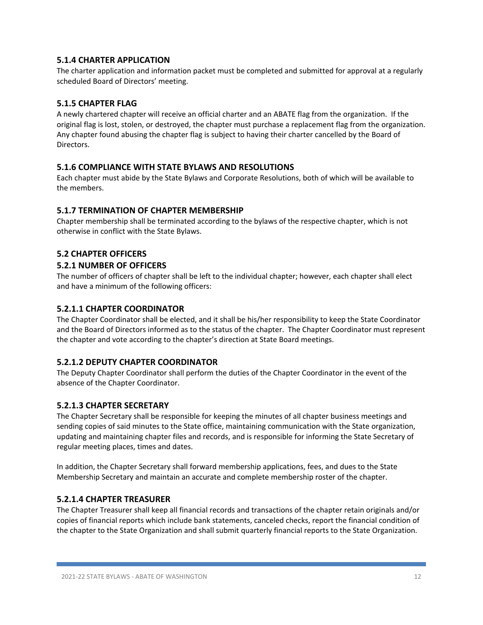# **5.1.4 CHARTER APPLICATION**

The charter application and information packet must be completed and submitted for approval at a regularly scheduled Board of Directors' meeting.

# **5.1.5 CHAPTER FLAG**

A newly chartered chapter will receive an official charter and an ABATE flag from the organization. If the original flag is lost, stolen, or destroyed, the chapter must purchase a replacement flag from the organization. Any chapter found abusing the chapter flag is subject to having their charter cancelled by the Board of Directors.

#### **5.1.6 COMPLIANCE WITH STATE BYLAWS AND RESOLUTIONS**

Each chapter must abide by the State Bylaws and Corporate Resolutions, both of which will be available to the members.

#### **5.1.7 TERMINATION OF CHAPTER MEMBERSHIP**

Chapter membership shall be terminated according to the bylaws of the respective chapter, which is not otherwise in conflict with the State Bylaws.

# **5.2 CHAPTER OFFICERS**

#### **5.2.1 NUMBER OF OFFICERS**

The number of officers of chapter shall be left to the individual chapter; however, each chapter shall elect and have a minimum of the following officers:

#### **5.2.1.1 CHAPTER COORDINATOR**

The Chapter Coordinator shall be elected, and it shall be his/her responsibility to keep the State Coordinator and the Board of Directors informed as to the status of the chapter. The Chapter Coordinator must represent the chapter and vote according to the chapter's direction at State Board meetings.

#### **5.2.1.2 DEPUTY CHAPTER COORDINATOR**

The Deputy Chapter Coordinator shall perform the duties of the Chapter Coordinator in the event of the absence of the Chapter Coordinator.

#### **5.2.1.3 CHAPTER SECRETARY**

The Chapter Secretary shall be responsible for keeping the minutes of all chapter business meetings and sending copies of said minutes to the State office, maintaining communication with the State organization, updating and maintaining chapter files and records, and is responsible for informing the State Secretary of regular meeting places, times and dates.

In addition, the Chapter Secretary shall forward membership applications, fees, and dues to the State Membership Secretary and maintain an accurate and complete membership roster of the chapter.

#### **5.2.1.4 CHAPTER TREASURER**

The Chapter Treasurer shall keep all financial records and transactions of the chapter retain originals and/or copies of financial reports which include bank statements, canceled checks, report the financial condition of the chapter to the State Organization and shall submit quarterly financial reports to the State Organization.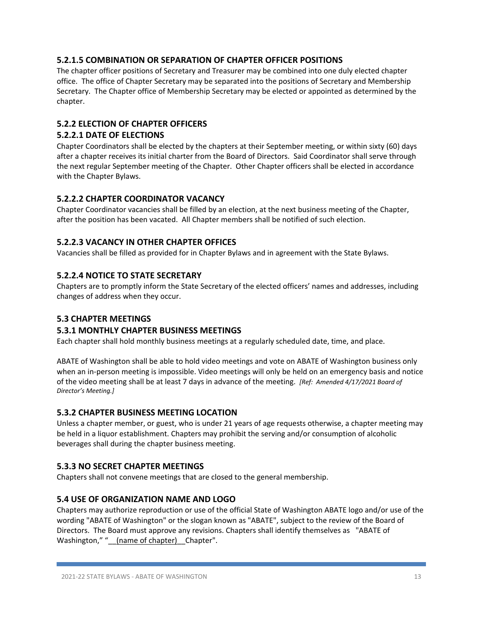# **5.2.1.5 COMBINATION OR SEPARATION OF CHAPTER OFFICER POSITIONS**

The chapter officer positions of Secretary and Treasurer may be combined into one duly elected chapter office. The office of Chapter Secretary may be separated into the positions of Secretary and Membership Secretary. The Chapter office of Membership Secretary may be elected or appointed as determined by the chapter.

# **5.2.2 ELECTION OF CHAPTER OFFICERS**

# **5.2.2.1 DATE OF ELECTIONS**

Chapter Coordinators shall be elected by the chapters at their September meeting, or within sixty (60) days after a chapter receives its initial charter from the Board of Directors. Said Coordinator shall serve through the next regular September meeting of the Chapter. Other Chapter officers shall be elected in accordance with the Chapter Bylaws.

# **5.2.2.2 CHAPTER COORDINATOR VACANCY**

Chapter Coordinator vacancies shall be filled by an election, at the next business meeting of the Chapter, after the position has been vacated. All Chapter members shall be notified of such election.

# **5.2.2.3 VACANCY IN OTHER CHAPTER OFFICES**

Vacancies shall be filled as provided for in Chapter Bylaws and in agreement with the State Bylaws.

# **5.2.2.4 NOTICE TO STATE SECRETARY**

Chapters are to promptly inform the State Secretary of the elected officers' names and addresses, including changes of address when they occur.

#### **5.3 CHAPTER MEETINGS**

#### **5.3.1 MONTHLY CHAPTER BUSINESS MEETINGS**

Each chapter shall hold monthly business meetings at a regularly scheduled date, time, and place.

ABATE of Washington shall be able to hold video meetings and vote on ABATE of Washington business only when an in-person meeting is impossible. Video meetings will only be held on an emergency basis and notice of the video meeting shall be at least 7 days in advance of the meeting. *[Ref: Amended 4/17/2021 Board of Director's Meeting.]*

# **5.3.2 CHAPTER BUSINESS MEETING LOCATION**

Unless a chapter member, or guest, who is under 21 years of age requests otherwise, a chapter meeting may be held in a liquor establishment. Chapters may prohibit the serving and/or consumption of alcoholic beverages shall during the chapter business meeting.

#### **5.3.3 NO SECRET CHAPTER MEETINGS**

Chapters shall not convene meetings that are closed to the general membership.

#### **5.4 USE OF ORGANIZATION NAME AND LOGO**

Chapters may authorize reproduction or use of the official State of Washington ABATE logo and/or use of the wording "ABATE of Washington" or the slogan known as "ABATE", subject to the review of the Board of Directors. The Board must approve any revisions. Chapters shall identify themselves as "ABATE of Washington," "\_\_(name of chapter) \_Chapter".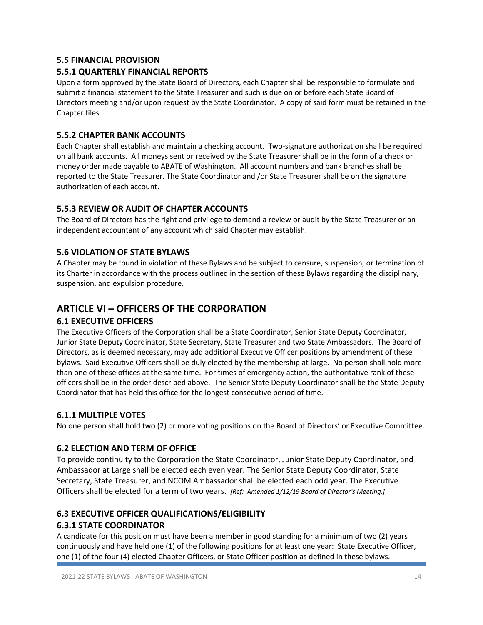# **5.5 FINANCIAL PROVISION**

# **5.5.1 QUARTERLY FINANCIAL REPORTS**

Upon a form approved by the State Board of Directors, each Chapter shall be responsible to formulate and submit a financial statement to the State Treasurer and such is due on or before each State Board of Directors meeting and/or upon request by the State Coordinator. A copy of said form must be retained in the Chapter files.

#### **5.5.2 CHAPTER BANK ACCOUNTS**

Each Chapter shall establish and maintain a checking account. Two-signature authorization shall be required on all bank accounts. All moneys sent or received by the State Treasurer shall be in the form of a check or money order made payable to ABATE of Washington. All account numbers and bank branches shall be reported to the State Treasurer. The State Coordinator and /or State Treasurer shall be on the signature authorization of each account.

# **5.5.3 REVIEW OR AUDIT OF CHAPTER ACCOUNTS**

The Board of Directors has the right and privilege to demand a review or audit by the State Treasurer or an independent accountant of any account which said Chapter may establish.

# **5.6 VIOLATION OF STATE BYLAWS**

A Chapter may be found in violation of these Bylaws and be subject to censure, suspension, or termination of its Charter in accordance with the process outlined in the section of these Bylaws regarding the disciplinary, suspension, and expulsion procedure.

# **ARTICLE VI – OFFICERS OF THE CORPORATION**

#### **6.1 EXECUTIVE OFFICERS**

The Executive Officers of the Corporation shall be a State Coordinator, Senior State Deputy Coordinator, Junior State Deputy Coordinator, State Secretary, State Treasurer and two State Ambassadors. The Board of Directors, as is deemed necessary, may add additional Executive Officer positions by amendment of these bylaws. Said Executive Officers shall be duly elected by the membership at large. No person shall hold more than one of these offices at the same time. For times of emergency action, the authoritative rank of these officers shall be in the order described above. The Senior State Deputy Coordinator shall be the State Deputy Coordinator that has held this office for the longest consecutive period of time.

#### **6.1.1 MULTIPLE VOTES**

No one person shall hold two (2) or more voting positions on the Board of Directors' or Executive Committee.

#### **6.2 ELECTION AND TERM OF OFFICE**

To provide continuity to the Corporation the State Coordinator, Junior State Deputy Coordinator, and Ambassador at Large shall be elected each even year. The Senior State Deputy Coordinator, State Secretary, State Treasurer, and NCOM Ambassador shall be elected each odd year. The Executive Officers shall be elected for a term of two years. *[Ref: Amended 1/12/19 Board of Director's Meeting.]*

# **6.3 EXECUTIVE OFFICER QUALIFICATIONS/ELIGIBILITY**

# **6.3.1 STATE COORDINATOR**

A candidate for this position must have been a member in good standing for a minimum of two (2) years continuously and have held one (1) of the following positions for at least one year: State Executive Officer, one (1) of the four (4) elected Chapter Officers, or State Officer position as defined in these bylaws.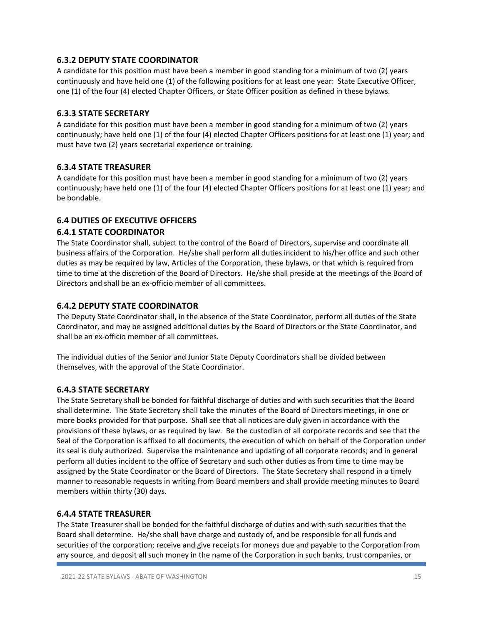# **6.3.2 DEPUTY STATE COORDINATOR**

A candidate for this position must have been a member in good standing for a minimum of two (2) years continuously and have held one (1) of the following positions for at least one year: State Executive Officer, one (1) of the four (4) elected Chapter Officers, or State Officer position as defined in these bylaws.

#### **6.3.3 STATE SECRETARY**

A candidate for this position must have been a member in good standing for a minimum of two (2) years continuously; have held one (1) of the four (4) elected Chapter Officers positions for at least one (1) year; and must have two (2) years secretarial experience or training.

# **6.3.4 STATE TREASURER**

A candidate for this position must have been a member in good standing for a minimum of two (2) years continuously; have held one (1) of the four (4) elected Chapter Officers positions for at least one (1) year; and be bondable.

# **6.4 DUTIES OF EXECUTIVE OFFICERS**

# **6.4.1 STATE COORDINATOR**

The State Coordinator shall, subject to the control of the Board of Directors, supervise and coordinate all business affairs of the Corporation. He/she shall perform all duties incident to his/her office and such other duties as may be required by law, Articles of the Corporation, these bylaws, or that which is required from time to time at the discretion of the Board of Directors. He/she shall preside at the meetings of the Board of Directors and shall be an ex-officio member of all committees.

# **6.4.2 DEPUTY STATE COORDINATOR**

The Deputy State Coordinator shall, in the absence of the State Coordinator, perform all duties of the State Coordinator, and may be assigned additional duties by the Board of Directors or the State Coordinator, and shall be an ex-officio member of all committees.

The individual duties of the Senior and Junior State Deputy Coordinators shall be divided between themselves, with the approval of the State Coordinator.

#### **6.4.3 STATE SECRETARY**

The State Secretary shall be bonded for faithful discharge of duties and with such securities that the Board shall determine. The State Secretary shall take the minutes of the Board of Directors meetings, in one or more books provided for that purpose. Shall see that all notices are duly given in accordance with the provisions of these bylaws, or as required by law. Be the custodian of all corporate records and see that the Seal of the Corporation is affixed to all documents, the execution of which on behalf of the Corporation under its seal is duly authorized. Supervise the maintenance and updating of all corporate records; and in general perform all duties incident to the office of Secretary and such other duties as from time to time may be assigned by the State Coordinator or the Board of Directors. The State Secretary shall respond in a timely manner to reasonable requests in writing from Board members and shall provide meeting minutes to Board members within thirty (30) days.

#### **6.4.4 STATE TREASURER**

The State Treasurer shall be bonded for the faithful discharge of duties and with such securities that the Board shall determine. He/she shall have charge and custody of, and be responsible for all funds and securities of the corporation; receive and give receipts for moneys due and payable to the Corporation from any source, and deposit all such money in the name of the Corporation in such banks, trust companies, or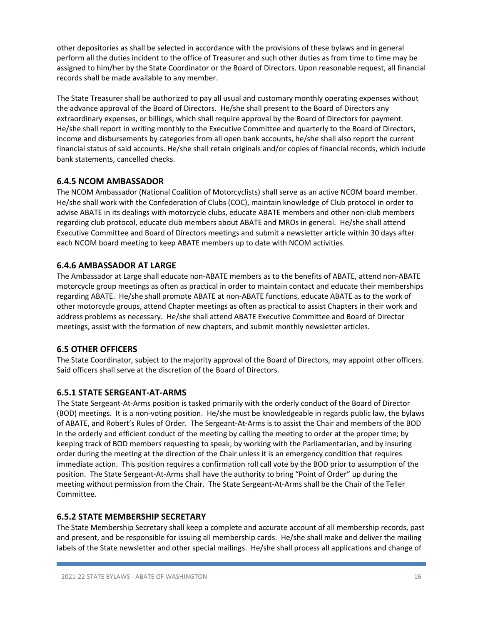other depositories as shall be selected in accordance with the provisions of these bylaws and in general perform all the duties incident to the office of Treasurer and such other duties as from time to time may be assigned to him/her by the State Coordinator or the Board of Directors. Upon reasonable request, all financial records shall be made available to any member.

The State Treasurer shall be authorized to pay all usual and customary monthly operating expenses without the advance approval of the Board of Directors. He/she shall present to the Board of Directors any extraordinary expenses, or billings, which shall require approval by the Board of Directors for payment. He/she shall report in writing monthly to the Executive Committee and quarterly to the Board of Directors, income and disbursements by categories from all open bank accounts, he/she shall also report the current financial status of said accounts. He/she shall retain originals and/or copies of financial records, which include bank statements, cancelled checks.

# **6.4.5 NCOM AMBASSADOR**

The NCOM Ambassador (National Coalition of Motorcyclists) shall serve as an active NCOM board member. He/she shall work with the Confederation of Clubs (COC), maintain knowledge of Club protocol in order to advise ABATE in its dealings with motorcycle clubs, educate ABATE members and other non-club members regarding club protocol, educate club members about ABATE and MROs in general. He/she shall attend Executive Committee and Board of Directors meetings and submit a newsletter article within 30 days after each NCOM board meeting to keep ABATE members up to date with NCOM activities.

# **6.4.6 AMBASSADOR AT LARGE**

The Ambassador at Large shall educate non-ABATE members as to the benefits of ABATE, attend non-ABATE motorcycle group meetings as often as practical in order to maintain contact and educate their memberships regarding ABATE. He/she shall promote ABATE at non-ABATE functions, educate ABATE as to the work of other motorcycle groups, attend Chapter meetings as often as practical to assist Chapters in their work and address problems as necessary. He/she shall attend ABATE Executive Committee and Board of Director meetings, assist with the formation of new chapters, and submit monthly newsletter articles.

#### **6.5 OTHER OFFICERS**

The State Coordinator, subject to the majority approval of the Board of Directors, may appoint other officers. Said officers shall serve at the discretion of the Board of Directors.

#### **6.5.1 STATE SERGEANT-AT-ARMS**

The State Sergeant-At-Arms position is tasked primarily with the orderly conduct of the Board of Director (BOD) meetings. It is a non-voting position. He/she must be knowledgeable in regards public law, the bylaws of ABATE, and Robert's Rules of Order. The Sergeant-At-Arms is to assist the Chair and members of the BOD in the orderly and efficient conduct of the meeting by calling the meeting to order at the proper time; by keeping track of BOD members requesting to speak; by working with the Parliamentarian, and by insuring order during the meeting at the direction of the Chair unless it is an emergency condition that requires immediate action. This position requires a confirmation roll call vote by the BOD prior to assumption of the position. The State Sergeant-At-Arms shall have the authority to bring "Point of Order" up during the meeting without permission from the Chair. The State Sergeant-At-Arms shall be the Chair of the Teller Committee.

#### **6.5.2 STATE MEMBERSHIP SECRETARY**

The State Membership Secretary shall keep a complete and accurate account of all membership records, past and present, and be responsible for issuing all membership cards. He/she shall make and deliver the mailing labels of the State newsletter and other special mailings. He/she shall process all applications and change of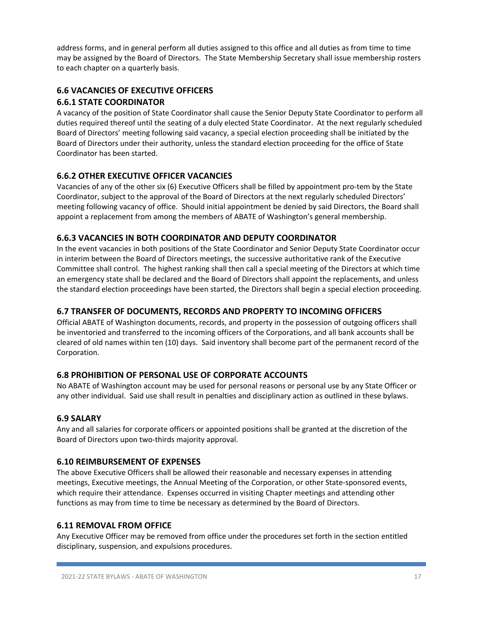address forms, and in general perform all duties assigned to this office and all duties as from time to time may be assigned by the Board of Directors. The State Membership Secretary shall issue membership rosters to each chapter on a quarterly basis.

# **6.6 VACANCIES OF EXECUTIVE OFFICERS**

# **6.6.1 STATE COORDINATOR**

A vacancy of the position of State Coordinator shall cause the Senior Deputy State Coordinator to perform all duties required thereof until the seating of a duly elected State Coordinator. At the next regularly scheduled Board of Directors' meeting following said vacancy, a special election proceeding shall be initiated by the Board of Directors under their authority, unless the standard election proceeding for the office of State Coordinator has been started.

# **6.6.2 OTHER EXECUTIVE OFFICER VACANCIES**

Vacancies of any of the other six (6) Executive Officers shall be filled by appointment pro-tem by the State Coordinator, subject to the approval of the Board of Directors at the next regularly scheduled Directors' meeting following vacancy of office. Should initial appointment be denied by said Directors, the Board shall appoint a replacement from among the members of ABATE of Washington's general membership.

# **6.6.3 VACANCIES IN BOTH COORDINATOR AND DEPUTY COORDINATOR**

In the event vacancies in both positions of the State Coordinator and Senior Deputy State Coordinator occur in interim between the Board of Directors meetings, the successive authoritative rank of the Executive Committee shall control. The highest ranking shall then call a special meeting of the Directors at which time an emergency state shall be declared and the Board of Directors shall appoint the replacements, and unless the standard election proceedings have been started, the Directors shall begin a special election proceeding.

# **6.7 TRANSFER OF DOCUMENTS, RECORDS AND PROPERTY TO INCOMING OFFICERS**

Official ABATE of Washington documents, records, and property in the possession of outgoing officers shall be inventoried and transferred to the incoming officers of the Corporations, and all bank accounts shall be cleared of old names within ten (10) days. Said inventory shall become part of the permanent record of the Corporation.

# **6.8 PROHIBITION OF PERSONAL USE OF CORPORATE ACCOUNTS**

No ABATE of Washington account may be used for personal reasons or personal use by any State Officer or any other individual. Said use shall result in penalties and disciplinary action as outlined in these bylaws.

# **6.9 SALARY**

Any and all salaries for corporate officers or appointed positions shall be granted at the discretion of the Board of Directors upon two-thirds majority approval.

#### **6.10 REIMBURSEMENT OF EXPENSES**

The above Executive Officers shall be allowed their reasonable and necessary expenses in attending meetings, Executive meetings, the Annual Meeting of the Corporation, or other State-sponsored events, which require their attendance. Expenses occurred in visiting Chapter meetings and attending other functions as may from time to time be necessary as determined by the Board of Directors.

#### **6.11 REMOVAL FROM OFFICE**

Any Executive Officer may be removed from office under the procedures set forth in the section entitled disciplinary, suspension, and expulsions procedures.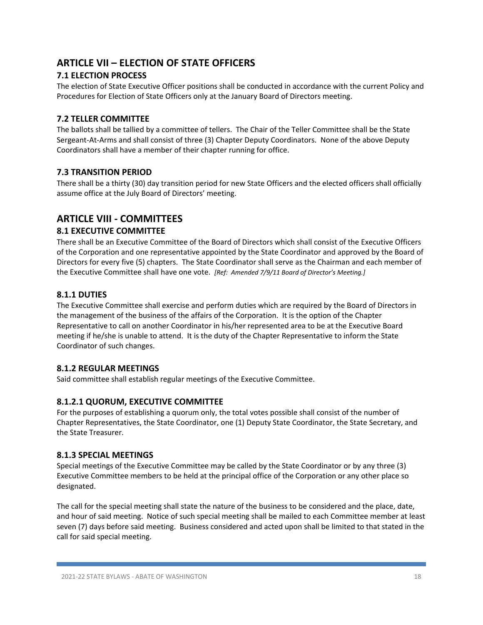# **ARTICLE VII – ELECTION OF STATE OFFICERS**

# **7.1 ELECTION PROCESS**

The election of State Executive Officer positions shall be conducted in accordance with the current Policy and Procedures for Election of State Officers only at the January Board of Directors meeting.

# **7.2 TELLER COMMITTEE**

The ballots shall be tallied by a committee of tellers. The Chair of the Teller Committee shall be the State Sergeant-At-Arms and shall consist of three (3) Chapter Deputy Coordinators. None of the above Deputy Coordinators shall have a member of their chapter running for office.

# **7.3 TRANSITION PERIOD**

There shall be a thirty (30) day transition period for new State Officers and the elected officers shall officially assume office at the July Board of Directors' meeting.

# **ARTICLE VIII - COMMITTEES**

# **8.1 EXECUTIVE COMMITTEE**

There shall be an Executive Committee of the Board of Directors which shall consist of the Executive Officers of the Corporation and one representative appointed by the State Coordinator and approved by the Board of Directors for every five (5) chapters. The State Coordinator shall serve as the Chairman and each member of the Executive Committee shall have one vote. *[Ref: Amended 7/9/11 Board of Director's Meeting.]*

# **8.1.1 DUTIES**

The Executive Committee shall exercise and perform duties which are required by the Board of Directors in the management of the business of the affairs of the Corporation. It is the option of the Chapter Representative to call on another Coordinator in his/her represented area to be at the Executive Board meeting if he/she is unable to attend. It is the duty of the Chapter Representative to inform the State Coordinator of such changes.

#### **8.1.2 REGULAR MEETINGS**

Said committee shall establish regular meetings of the Executive Committee.

# **8.1.2.1 QUORUM, EXECUTIVE COMMITTEE**

For the purposes of establishing a quorum only, the total votes possible shall consist of the number of Chapter Representatives, the State Coordinator, one (1) Deputy State Coordinator, the State Secretary, and the State Treasurer.

#### **8.1.3 SPECIAL MEETINGS**

Special meetings of the Executive Committee may be called by the State Coordinator or by any three (3) Executive Committee members to be held at the principal office of the Corporation or any other place so designated.

The call for the special meeting shall state the nature of the business to be considered and the place, date, and hour of said meeting. Notice of such special meeting shall be mailed to each Committee member at least seven (7) days before said meeting. Business considered and acted upon shall be limited to that stated in the call for said special meeting.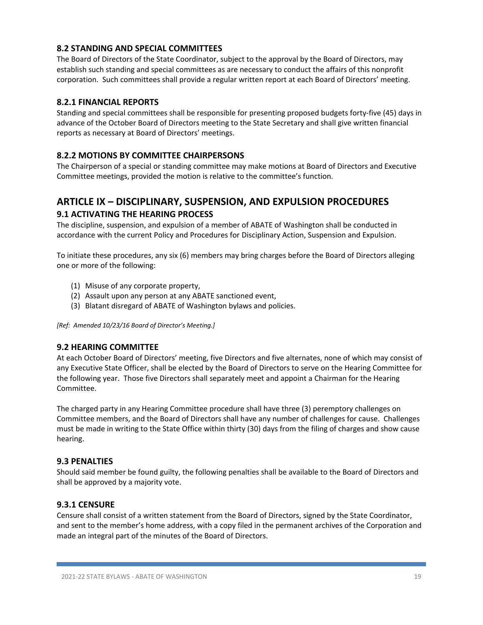# **8.2 STANDING AND SPECIAL COMMITTEES**

The Board of Directors of the State Coordinator, subject to the approval by the Board of Directors, may establish such standing and special committees as are necessary to conduct the affairs of this nonprofit corporation. Such committees shall provide a regular written report at each Board of Directors' meeting.

#### **8.2.1 FINANCIAL REPORTS**

Standing and special committees shall be responsible for presenting proposed budgets forty-five (45) days in advance of the October Board of Directors meeting to the State Secretary and shall give written financial reports as necessary at Board of Directors' meetings.

# **8.2.2 MOTIONS BY COMMITTEE CHAIRPERSONS**

The Chairperson of a special or standing committee may make motions at Board of Directors and Executive Committee meetings, provided the motion is relative to the committee's function.

# **ARTICLE IX – DISCIPLINARY, SUSPENSION, AND EXPULSION PROCEDURES 9.1 ACTIVATING THE HEARING PROCESS**

The discipline, suspension, and expulsion of a member of ABATE of Washington shall be conducted in accordance with the current Policy and Procedures for Disciplinary Action, Suspension and Expulsion.

To initiate these procedures, any six (6) members may bring charges before the Board of Directors alleging one or more of the following:

- (1) Misuse of any corporate property,
- (2) Assault upon any person at any ABATE sanctioned event,
- (3) Blatant disregard of ABATE of Washington bylaws and policies.

*[Ref: Amended 10/23/16 Board of Director's Meeting.]*

#### **9.2 HEARING COMMITTEE**

At each October Board of Directors' meeting, five Directors and five alternates, none of which may consist of any Executive State Officer, shall be elected by the Board of Directors to serve on the Hearing Committee for the following year. Those five Directors shall separately meet and appoint a Chairman for the Hearing Committee.

The charged party in any Hearing Committee procedure shall have three (3) peremptory challenges on Committee members, and the Board of Directors shall have any number of challenges for cause. Challenges must be made in writing to the State Office within thirty (30) days from the filing of charges and show cause hearing.

#### **9.3 PENALTIES**

Should said member be found guilty, the following penalties shall be available to the Board of Directors and shall be approved by a majority vote.

#### **9.3.1 CENSURE**

Censure shall consist of a written statement from the Board of Directors, signed by the State Coordinator, and sent to the member's home address, with a copy filed in the permanent archives of the Corporation and made an integral part of the minutes of the Board of Directors.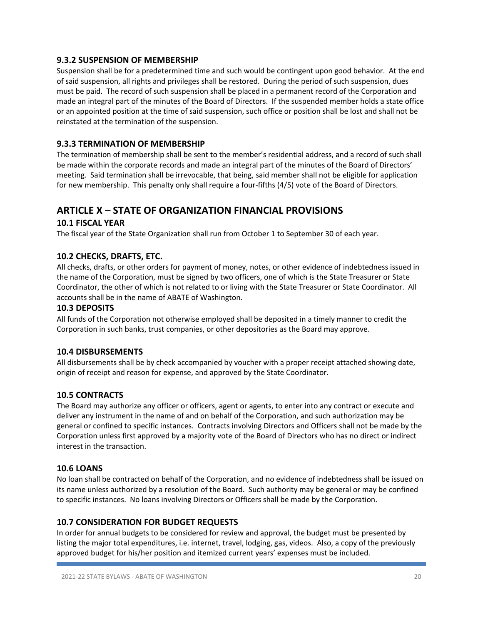#### **9.3.2 SUSPENSION OF MEMBERSHIP**

Suspension shall be for a predetermined time and such would be contingent upon good behavior. At the end of said suspension, all rights and privileges shall be restored. During the period of such suspension, dues must be paid. The record of such suspension shall be placed in a permanent record of the Corporation and made an integral part of the minutes of the Board of Directors. If the suspended member holds a state office or an appointed position at the time of said suspension, such office or position shall be lost and shall not be reinstated at the termination of the suspension.

# **9.3.3 TERMINATION OF MEMBERSHIP**

The termination of membership shall be sent to the member's residential address, and a record of such shall be made within the corporate records and made an integral part of the minutes of the Board of Directors' meeting. Said termination shall be irrevocable, that being, said member shall not be eligible for application for new membership. This penalty only shall require a four-fifths (4/5) vote of the Board of Directors.

# **ARTICLE X – STATE OF ORGANIZATION FINANCIAL PROVISIONS**

# **10.1 FISCAL YEAR**

The fiscal year of the State Organization shall run from October 1 to September 30 of each year.

# **10.2 CHECKS, DRAFTS, ETC.**

All checks, drafts, or other orders for payment of money, notes, or other evidence of indebtedness issued in the name of the Corporation, must be signed by two officers, one of which is the State Treasurer or State Coordinator, the other of which is not related to or living with the State Treasurer or State Coordinator. All accounts shall be in the name of ABATE of Washington.

#### **10.3 DEPOSITS**

All funds of the Corporation not otherwise employed shall be deposited in a timely manner to credit the Corporation in such banks, trust companies, or other depositories as the Board may approve.

#### **10.4 DISBURSEMENTS**

All disbursements shall be by check accompanied by voucher with a proper receipt attached showing date, origin of receipt and reason for expense, and approved by the State Coordinator.

#### **10.5 CONTRACTS**

The Board may authorize any officer or officers, agent or agents, to enter into any contract or execute and deliver any instrument in the name of and on behalf of the Corporation, and such authorization may be general or confined to specific instances. Contracts involving Directors and Officers shall not be made by the Corporation unless first approved by a majority vote of the Board of Directors who has no direct or indirect interest in the transaction.

#### **10.6 LOANS**

No loan shall be contracted on behalf of the Corporation, and no evidence of indebtedness shall be issued on its name unless authorized by a resolution of the Board. Such authority may be general or may be confined to specific instances. No loans involving Directors or Officers shall be made by the Corporation.

#### **10.7 CONSIDERATION FOR BUDGET REQUESTS**

In order for annual budgets to be considered for review and approval, the budget must be presented by listing the major total expenditures, i.e. internet, travel, lodging, gas, videos. Also, a copy of the previously approved budget for his/her position and itemized current years' expenses must be included.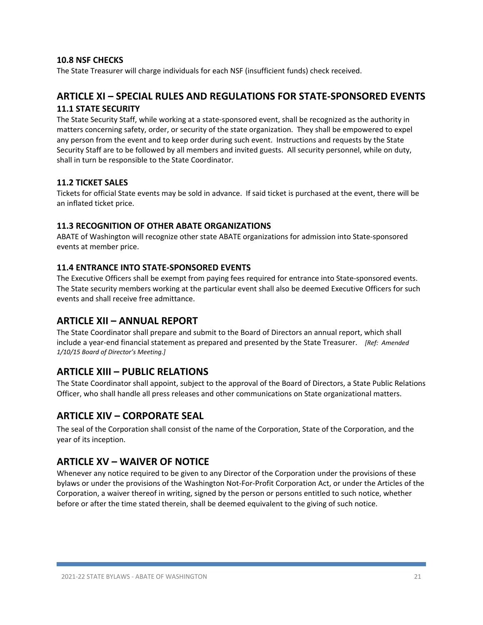# **10.8 NSF CHECKS**

The State Treasurer will charge individuals for each NSF (insufficient funds) check received.

# **ARTICLE XI – SPECIAL RULES AND REGULATIONS FOR STATE-SPONSORED EVENTS 11.1 STATE SECURITY**

The State Security Staff, while working at a state-sponsored event, shall be recognized as the authority in matters concerning safety, order, or security of the state organization. They shall be empowered to expel any person from the event and to keep order during such event. Instructions and requests by the State Security Staff are to be followed by all members and invited guests. All security personnel, while on duty, shall in turn be responsible to the State Coordinator.

# **11.2 TICKET SALES**

Tickets for official State events may be sold in advance. If said ticket is purchased at the event, there will be an inflated ticket price.

#### **11.3 RECOGNITION OF OTHER ABATE ORGANIZATIONS**

ABATE of Washington will recognize other state ABATE organizations for admission into State-sponsored events at member price.

#### **11.4 ENTRANCE INTO STATE-SPONSORED EVENTS**

The Executive Officers shall be exempt from paying fees required for entrance into State-sponsored events. The State security members working at the particular event shall also be deemed Executive Officers for such events and shall receive free admittance.

# **ARTICLE XII – ANNUAL REPORT**

The State Coordinator shall prepare and submit to the Board of Directors an annual report, which shall include a year-end financial statement as prepared and presented by the State Treasurer. *[Ref: Amended 1/10/15 Board of Director's Meeting.]*

# **ARTICLE XIII – PUBLIC RELATIONS**

The State Coordinator shall appoint, subject to the approval of the Board of Directors, a State Public Relations Officer, who shall handle all press releases and other communications on State organizational matters.

# **ARTICLE XIV – CORPORATE SEAL**

The seal of the Corporation shall consist of the name of the Corporation, State of the Corporation, and the year of its inception.

# **ARTICLE XV – WAIVER OF NOTICE**

Whenever any notice required to be given to any Director of the Corporation under the provisions of these bylaws or under the provisions of the Washington Not-For-Profit Corporation Act, or under the Articles of the Corporation, a waiver thereof in writing, signed by the person or persons entitled to such notice, whether before or after the time stated therein, shall be deemed equivalent to the giving of such notice.